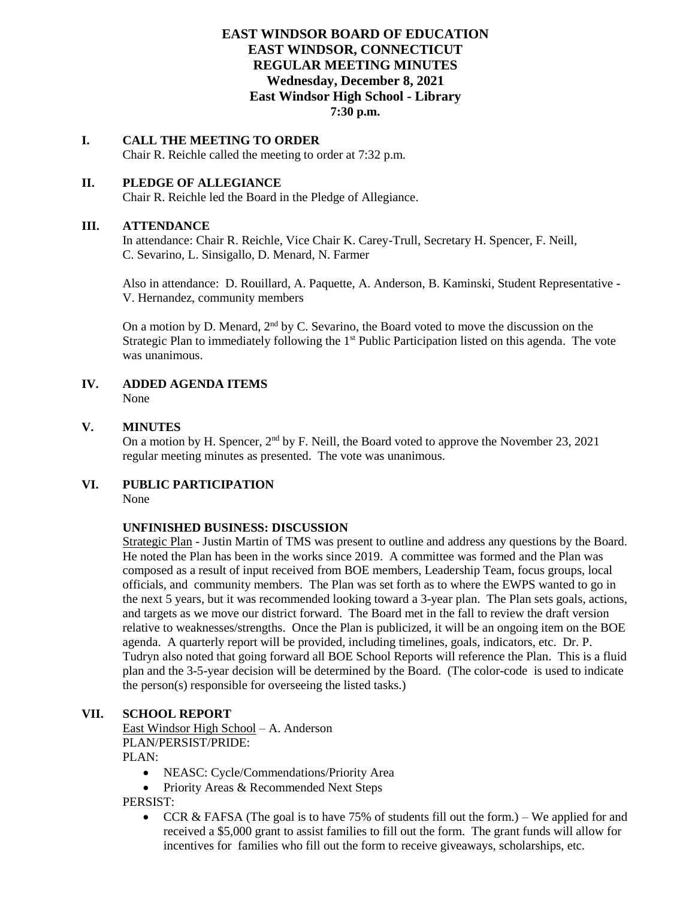## **EAST WINDSOR BOARD OF EDUCATION EAST WINDSOR, CONNECTICUT REGULAR MEETING MINUTES Wednesday, December 8, 2021 East Windsor High School - Library 7:30 p.m.**

# **I. CALL THE MEETING TO ORDER**

Chair R. Reichle called the meeting to order at 7:32 p.m.

### **II. PLEDGE OF ALLEGIANCE**

Chair R. Reichle led the Board in the Pledge of Allegiance.

#### **III. ATTENDANCE**

In attendance: Chair R. Reichle, Vice Chair K. Carey-Trull, Secretary H. Spencer, F. Neill, C. Sevarino, L. Sinsigallo, D. Menard, N. Farmer

Also in attendance: D. Rouillard, A. Paquette, A. Anderson, B. Kaminski, Student Representative - V. Hernandez, community members

On a motion by D. Menard,  $2<sup>nd</sup>$  by C. Sevarino, the Board voted to move the discussion on the Strategic Plan to immediately following the 1<sup>st</sup> Public Participation listed on this agenda. The vote was unanimous.

**IV. ADDED AGENDA ITEMS** None

#### **V. MINUTES**

On a motion by H. Spencer,  $2<sup>nd</sup>$  by F. Neill, the Board voted to approve the November 23, 2021 regular meeting minutes as presented. The vote was unanimous.

**VI. PUBLIC PARTICIPATION** None

#### **UNFINISHED BUSINESS: DISCUSSION**

Strategic Plan - Justin Martin of TMS was present to outline and address any questions by the Board. He noted the Plan has been in the works since 2019. A committee was formed and the Plan was composed as a result of input received from BOE members, Leadership Team, focus groups, local officials, and community members. The Plan was set forth as to where the EWPS wanted to go in the next 5 years, but it was recommended looking toward a 3-year plan. The Plan sets goals, actions, and targets as we move our district forward. The Board met in the fall to review the draft version relative to weaknesses/strengths. Once the Plan is publicized, it will be an ongoing item on the BOE agenda. A quarterly report will be provided, including timelines, goals, indicators, etc. Dr. P. Tudryn also noted that going forward all BOE School Reports will reference the Plan. This is a fluid plan and the 3-5-year decision will be determined by the Board. (The color-code is used to indicate the person(s) responsible for overseeing the listed tasks.)

### **VII. SCHOOL REPORT**

East Windsor High School – A. Anderson PLAN/PERSIST/PRIDE:

PLAN:

- NEASC: Cycle/Commendations/Priority Area
- Priority Areas & Recommended Next Steps

PERSIST:

• CCR & FAFSA (The goal is to have  $75\%$  of students fill out the form.) – We applied for and received a \$5,000 grant to assist families to fill out the form. The grant funds will allow for incentives for families who fill out the form to receive giveaways, scholarships, etc.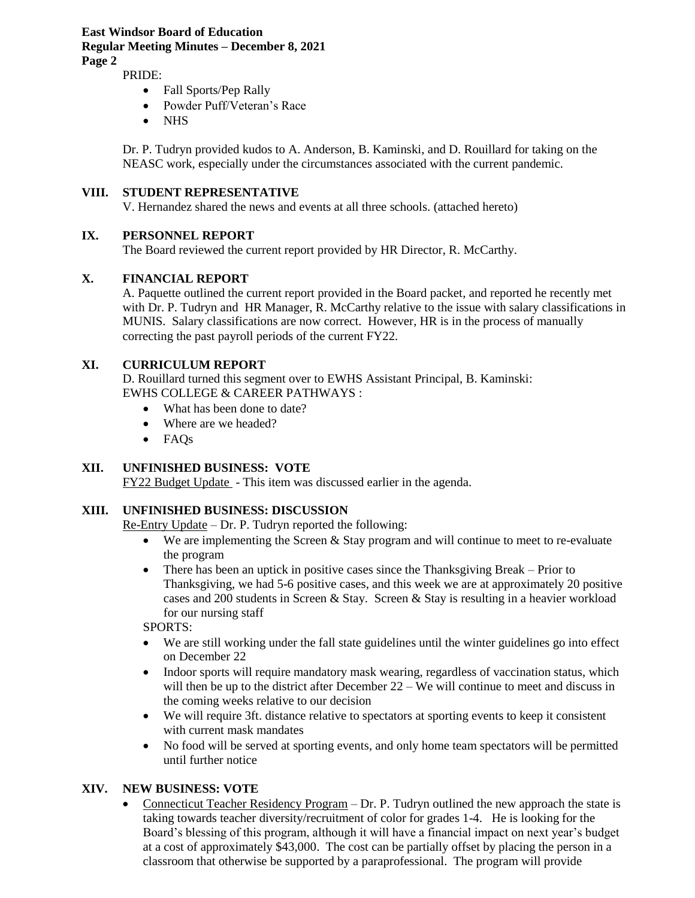#### **East Windsor Board of Education Regular Meeting Minutes – December 8, 2021 Page 2**

PRIDE:

- Fall Sports/Pep Rally
- Powder Puff/Veteran's Race
- NHS

Dr. P. Tudryn provided kudos to A. Anderson, B. Kaminski, and D. Rouillard for taking on the NEASC work, especially under the circumstances associated with the current pandemic.

#### **VIII. STUDENT REPRESENTATIVE**

V. Hernandez shared the news and events at all three schools. (attached hereto)

#### **IX. PERSONNEL REPORT**

The Board reviewed the current report provided by HR Director, R. McCarthy.

#### **X. FINANCIAL REPORT**

A. Paquette outlined the current report provided in the Board packet, and reported he recently met with Dr. P. Tudryn and HR Manager, R. McCarthy relative to the issue with salary classifications in MUNIS. Salary classifications are now correct. However, HR is in the process of manually correcting the past payroll periods of the current FY22.

#### **XI. CURRICULUM REPORT**

D. Rouillard turned this segment over to EWHS Assistant Principal, B. Kaminski: EWHS COLLEGE & CAREER PATHWAYS :

- What has been done to date?
- Where are we headed?
- FAQs

### **XII. UNFINISHED BUSINESS: VOTE**

FY22 Budget Update - This item was discussed earlier in the agenda.

### **XIII. UNFINISHED BUSINESS: DISCUSSION**

Re-Entry Update – Dr. P. Tudryn reported the following:

- We are implementing the Screen  $&$  Stay program and will continue to meet to re-evaluate the program
- There has been an uptick in positive cases since the Thanksgiving Break Prior to Thanksgiving, we had 5-6 positive cases, and this week we are at approximately 20 positive cases and 200 students in Screen & Stay. Screen & Stay is resulting in a heavier workload for our nursing staff

SPORTS:

- We are still working under the fall state guidelines until the winter guidelines go into effect on December 22
- Indoor sports will require mandatory mask wearing, regardless of vaccination status, which will then be up to the district after December 22 – We will continue to meet and discuss in the coming weeks relative to our decision
- We will require 3ft. distance relative to spectators at sporting events to keep it consistent with current mask mandates
- No food will be served at sporting events, and only home team spectators will be permitted until further notice

### **XIV. NEW BUSINESS: VOTE**

• Connecticut Teacher Residency Program – Dr. P. Tudryn outlined the new approach the state is taking towards teacher diversity/recruitment of color for grades 1-4. He is looking for the Board's blessing of this program, although it will have a financial impact on next year's budget at a cost of approximately \$43,000. The cost can be partially offset by placing the person in a classroom that otherwise be supported by a paraprofessional. The program will provide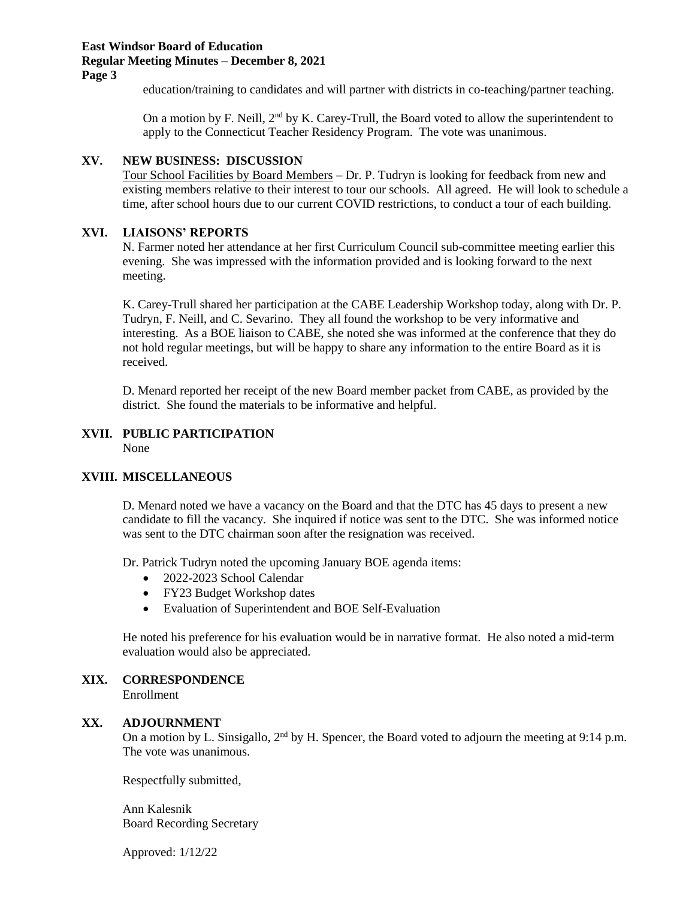#### **East Windsor Board of Education Regular Meeting Minutes – December 8, 2021 Page 3**

education/training to candidates and will partner with districts in co-teaching/partner teaching.

On a motion by F. Neill,  $2<sup>nd</sup>$  by K. Carey-Trull, the Board voted to allow the superintendent to apply to the Connecticut Teacher Residency Program. The vote was unanimous.

#### **XV. NEW BUSINESS: DISCUSSION**

Tour School Facilities by Board Members – Dr. P. Tudryn is looking for feedback from new and existing members relative to their interest to tour our schools. All agreed. He will look to schedule a time, after school hours due to our current COVID restrictions, to conduct a tour of each building.

#### **XVI. LIAISONS' REPORTS**

N. Farmer noted her attendance at her first Curriculum Council sub-committee meeting earlier this evening. She was impressed with the information provided and is looking forward to the next meeting.

K. Carey-Trull shared her participation at the CABE Leadership Workshop today, along with Dr. P. Tudryn, F. Neill, and C. Sevarino. They all found the workshop to be very informative and interesting. As a BOE liaison to CABE, she noted she was informed at the conference that they do not hold regular meetings, but will be happy to share any information to the entire Board as it is received.

D. Menard reported her receipt of the new Board member packet from CABE, as provided by the district. She found the materials to be informative and helpful.

# **XVII. PUBLIC PARTICIPATION**

None

## **XVIII. MISCELLANEOUS**

D. Menard noted we have a vacancy on the Board and that the DTC has 45 days to present a new candidate to fill the vacancy. She inquired if notice was sent to the DTC. She was informed notice was sent to the DTC chairman soon after the resignation was received.

Dr. Patrick Tudryn noted the upcoming January BOE agenda items:

- 2022-2023 School Calendar
- FY23 Budget Workshop dates
- Evaluation of Superintendent and BOE Self-Evaluation

He noted his preference for his evaluation would be in narrative format. He also noted a mid-term evaluation would also be appreciated.

### **XIX. CORRESPONDENCE**

Enrollment

#### **XX. ADJOURNMENT**

On a motion by L. Sinsigallo,  $2<sup>nd</sup>$  by H. Spencer, the Board voted to adjourn the meeting at 9:14 p.m. The vote was unanimous.

Respectfully submitted,

Ann Kalesnik Board Recording Secretary

Approved: 1/12/22